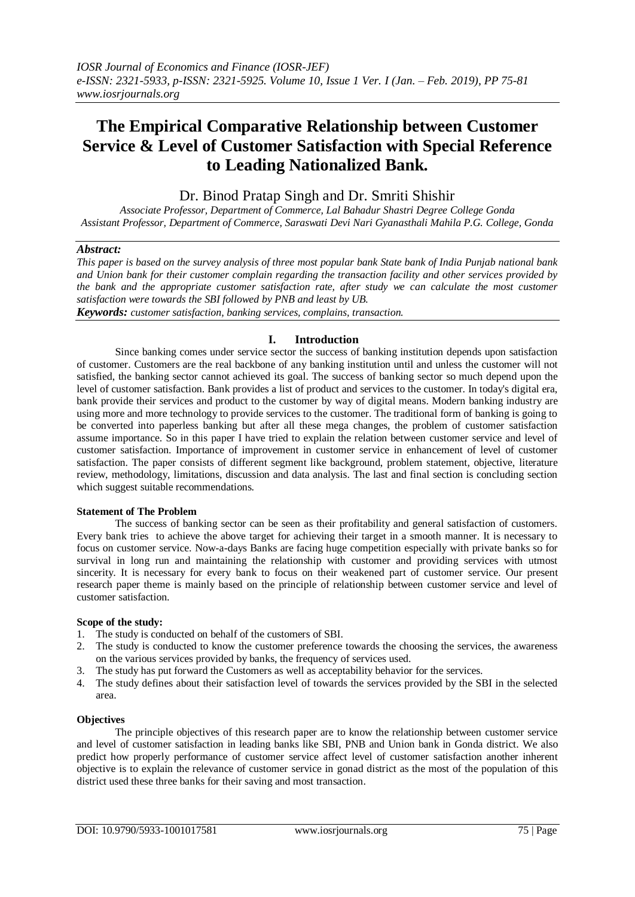# **The Empirical Comparative Relationship between Customer Service & Level of Customer Satisfaction with Special Reference to Leading Nationalized Bank.**

# Dr. Binod Pratap Singh and Dr. Smriti Shishir

*Associate Professor, Department of Commerce, Lal Bahadur Shastri Degree College Gonda Assistant Professor, Department of Commerce, Saraswati Devi Nari Gyanasthali Mahila P.G. College, Gonda*

## *Abstract:*

*This paper is based on the survey analysis of three most popular bank State bank of India Punjab national bank and Union bank for their customer complain regarding the transaction facility and other services provided by the bank and the appropriate customer satisfaction rate, after study we can calculate the most customer satisfaction were towards the SBI followed by PNB and least by UB.* 

*Keywords: customer satisfaction, banking services, complains, transaction.*

## **I. Introduction**

Since banking comes under service sector the success of banking institution depends upon satisfaction of customer. Customers are the real backbone of any banking institution until and unless the customer will not satisfied, the banking sector cannot achieved its goal. The success of banking sector so much depend upon the level of customer satisfaction. Bank provides a list of product and services to the customer. In today's digital era, bank provide their services and product to the customer by way of digital means. Modern banking industry are using more and more technology to provide services to the customer. The traditional form of banking is going to be converted into paperless banking but after all these mega changes, the problem of customer satisfaction assume importance. So in this paper I have tried to explain the relation between customer service and level of customer satisfaction. Importance of improvement in customer service in enhancement of level of customer satisfaction. The paper consists of different segment like background, problem statement, objective, literature review, methodology, limitations, discussion and data analysis. The last and final section is concluding section which suggest suitable recommendations.

#### **Statement of The Problem**

The success of banking sector can be seen as their profitability and general satisfaction of customers. Every bank tries to achieve the above target for achieving their target in a smooth manner. It is necessary to focus on customer service. Now-a-days Banks are facing huge competition especially with private banks so for survival in long run and maintaining the relationship with customer and providing services with utmost sincerity. It is necessary for every bank to focus on their weakened part of customer service. Our present research paper theme is mainly based on the principle of relationship between customer service and level of customer satisfaction.

#### **Scope of the study:**

- 1. The study is conducted on behalf of the customers of SBI.
- 2. The study is conducted to know the customer preference towards the choosing the services, the awareness on the various services provided by banks, the frequency of services used.
- 3. The study has put forward the Customers as well as acceptability behavior for the services.
- 4. The study defines about their satisfaction level of towards the services provided by the SBI in the selected area.

#### **Objectives**

The principle objectives of this research paper are to know the relationship between customer service and level of customer satisfaction in leading banks like SBI, PNB and Union bank in Gonda district. We also predict how properly performance of customer service affect level of customer satisfaction another inherent objective is to explain the relevance of customer service in gonad district as the most of the population of this district used these three banks for their saving and most transaction.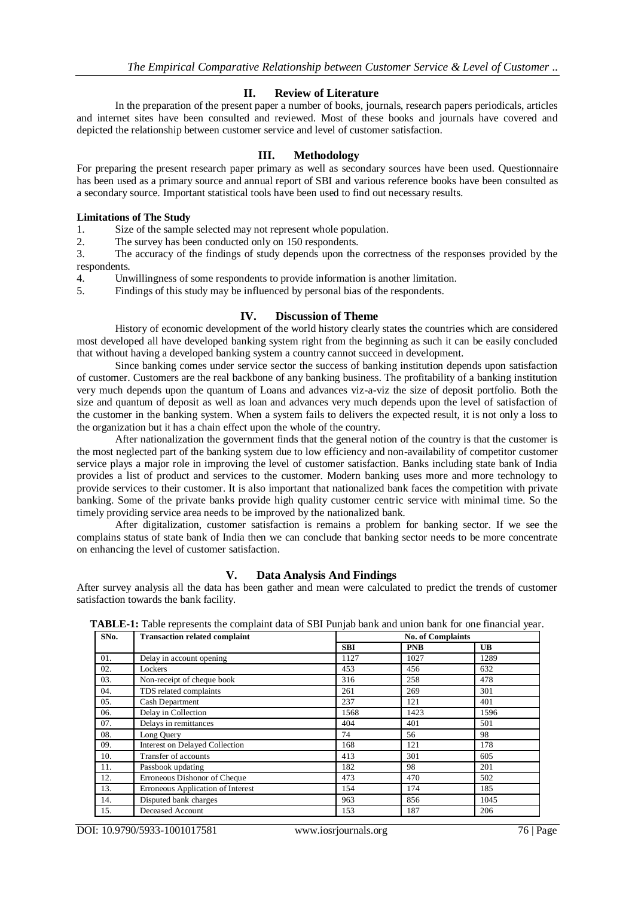# **II. Review of Literature**

In the preparation of the present paper a number of books, journals, research papers periodicals, articles and internet sites have been consulted and reviewed. Most of these books and journals have covered and depicted the relationship between customer service and level of customer satisfaction.

# **III. Methodology**

For preparing the present research paper primary as well as secondary sources have been used. Questionnaire has been used as a primary source and annual report of SBI and various reference books have been consulted as a secondary source. Important statistical tools have been used to find out necessary results.

## **Limitations of The Study**

1. Size of the sample selected may not represent whole population.

2. The survey has been conducted only on 150 respondents.

3. The accuracy of the findings of study depends upon the correctness of the responses provided by the respondents.

4. Unwillingness of some respondents to provide information is another limitation.

5. Findings of this study may be influenced by personal bias of the respondents.

## **IV. Discussion of Theme**

History of economic development of the world history clearly states the countries which are considered most developed all have developed banking system right from the beginning as such it can be easily concluded that without having a developed banking system a country cannot succeed in development.

Since banking comes under service sector the success of banking institution depends upon satisfaction of customer. Customers are the real backbone of any banking business. The profitability of a banking institution very much depends upon the quantum of Loans and advances viz-a-viz the size of deposit portfolio. Both the size and quantum of deposit as well as loan and advances very much depends upon the level of satisfaction of the customer in the banking system. When a system fails to delivers the expected result, it is not only a loss to the organization but it has a chain effect upon the whole of the country.

After nationalization the government finds that the general notion of the country is that the customer is the most neglected part of the banking system due to low efficiency and non-availability of competitor customer service plays a major role in improving the level of customer satisfaction. Banks including state bank of India provides a list of product and services to the customer. Modern banking uses more and more technology to provide services to their customer. It is also important that nationalized bank faces the competition with private banking. Some of the private banks provide high quality customer centric service with minimal time. So the timely providing service area needs to be improved by the nationalized bank.

After digitalization, customer satisfaction is remains a problem for banking sector. If we see the complains status of state bank of India then we can conclude that banking sector needs to be more concentrate on enhancing the level of customer satisfaction.

# **V. Data Analysis And Findings**

After survey analysis all the data has been gather and mean were calculated to predict the trends of customer satisfaction towards the bank facility.

| SNo. | <b>Transaction related complaint</b>  | <b>No. of Complaints</b> |            |           |  |
|------|---------------------------------------|--------------------------|------------|-----------|--|
|      |                                       | <b>SBI</b>               | <b>PNB</b> | <b>UB</b> |  |
| 01.  | Delay in account opening              | 1127                     | 1027       | 1289      |  |
| 02.  | Lockers                               | 453                      | 456        | 632       |  |
| 03.  | Non-receipt of cheque book            | 316                      | 258        | 478       |  |
| 04.  | TDS related complaints                | 261                      | 269        | 301       |  |
| 05.  | Cash Department                       | 237                      | 121        | 401       |  |
| 06.  | Delay in Collection                   | 1568                     | 1423       | 1596      |  |
| 07.  | Delays in remittances                 | 404                      | 401        | 501       |  |
| 08.  | Long Query                            | 74                       | 56         | 98        |  |
| 09.  | <b>Interest on Delayed Collection</b> | 168                      | 121        | 178       |  |
| 10.  | Transfer of accounts                  | 413                      | 301        | 605       |  |
| 11.  | Passbook updating                     | 182                      | 98         | 201       |  |
| 12.  | Erroneous Dishonor of Cheque          | 473                      | 470        | 502       |  |
| 13.  | Erroneous Application of Interest     | 154                      | 174        | 185       |  |
| 14.  | Disputed bank charges                 | 963                      | 856        | 1045      |  |
| 15.  | Deceased Account                      | 153                      | 187        | 206       |  |

**TABLE-1:** Table represents the complaint data of SBI Punjab bank and union bank for one financial year.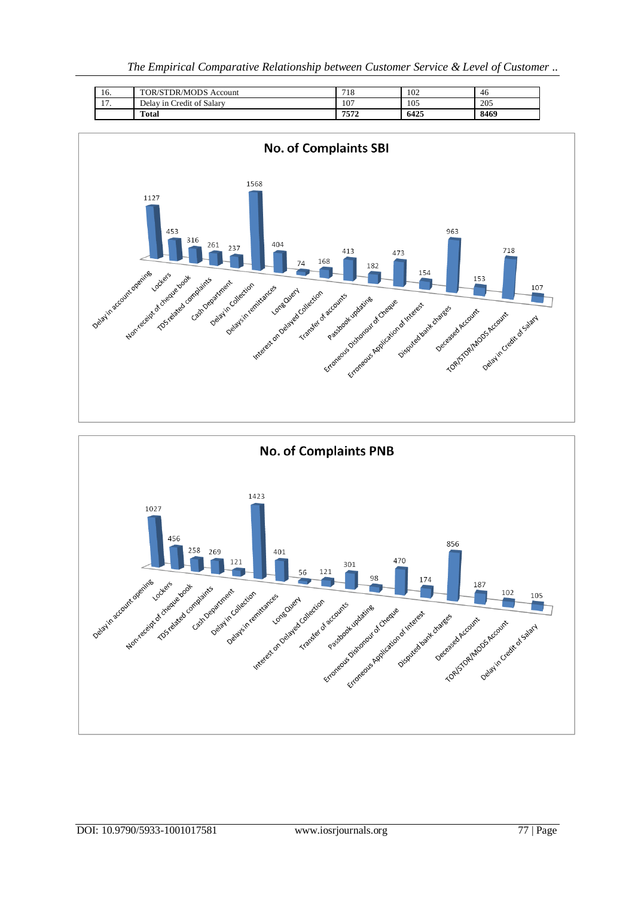| 16.      | TOR/STDR/MODS Account     | 718  | 102  | 46   |
|----------|---------------------------|------|------|------|
| . .<br>. | Delay in Credit of Salary | 107  | 105  | 205  |
|          | <b>Total</b>              | 7572 | 6425 | 8469 |

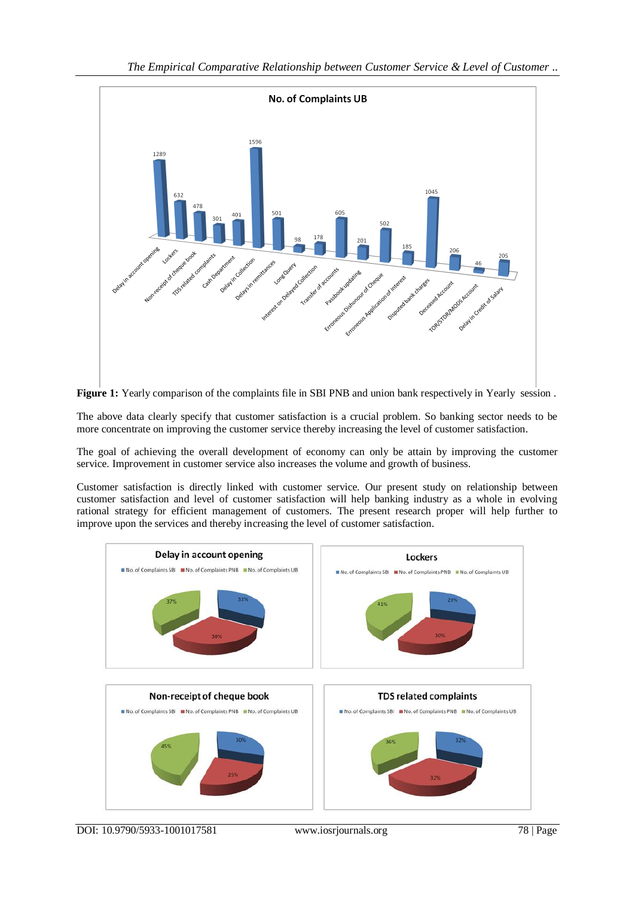



The above data clearly specify that customer satisfaction is a crucial problem. So banking sector needs to be more concentrate on improving the customer service thereby increasing the level of customer satisfaction.

The goal of achieving the overall development of economy can only be attain by improving the customer service. Improvement in customer service also increases the volume and growth of business.

Customer satisfaction is directly linked with customer service. Our present study on relationship between customer satisfaction and level of customer satisfaction will help banking industry as a whole in evolving rational strategy for efficient management of customers. The present research proper will help further to improve upon the services and thereby increasing the level of customer satisfaction.



DOI: 10.9790/5933-1001017581 www.iosrjournals.org 78 | Page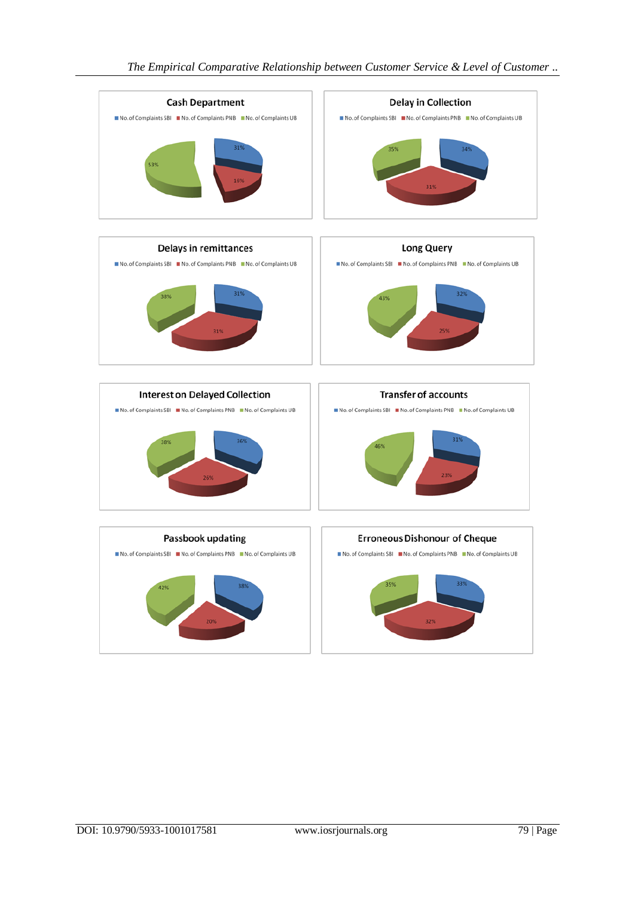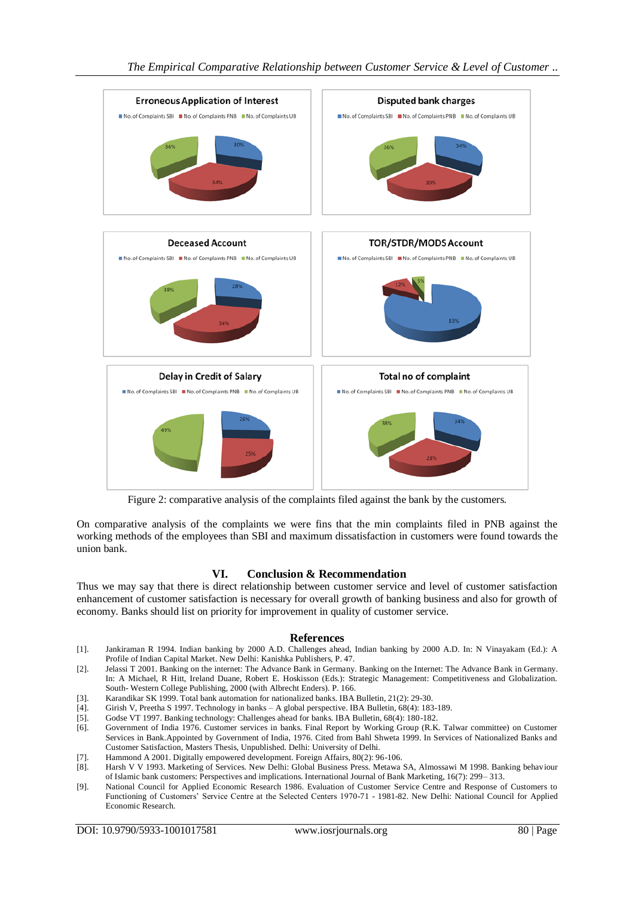

Figure 2: comparative analysis of the complaints filed against the bank by the customers.

On comparative analysis of the complaints we were fins that the min complaints filed in PNB against the working methods of the employees than SBI and maximum dissatisfaction in customers were found towards the union bank.

# **VI. Conclusion & Recommendation**

Thus we may say that there is direct relationship between customer service and level of customer satisfaction enhancement of customer satisfaction is necessary for overall growth of banking business and also for growth of economy. Banks should list on priority for improvement in quality of customer service.

# **References**

- [1]. Jankiraman R 1994. Indian banking by 2000 A.D. Challenges ahead, Indian banking by 2000 A.D. In: N Vinayakam (Ed.): A Profile of Indian Capital Market. New Delhi: Kanishka Publishers, P. 47.
- [2]. Jelassi T 2001. Banking on the internet: The Advance Bank in Germany. Banking on the Internet: The Advance Bank in Germany. In: A Michael, R Hitt, Ireland Duane, Robert E. Hoskisson (Eds.): Strategic Management: Competitiveness and Globalization. South- Western College Publishing, 2000 (with Albrecht Enders). P. 166.
- [3]. Karandikar SK 1999. Total bank automation for nationalized banks. IBA Bulletin, 21(2): 29-30. [4]. Girish V, Preetha S 1997. Technology in banks A global perspective. IBA Bulletin, 68(4): 183
- [4]. Girish V, Preetha S 1997. Technology in banks A global perspective. IBA Bulletin, 68(4): 183-189.
- [5]. Godse VT 1997. Banking technology: Challenges ahead for banks. IBA Bulletin, 68(4): 180-182.
- [6]. Government of India 1976. Customer services in banks. Final Report by Working Group (R.K. Talwar committee) on Customer Services in Bank.Appointed by Government of India, 1976. Cited from Bahl Shweta 1999. In Services of Nationalized Banks and Customer Satisfaction, Masters Thesis, Unpublished. Delhi: University of Delhi.
- [7]. Hammond A 2001. Digitally empowered development. Foreign Affairs, 80(2): 96-106.
- [8]. Harsh V V 1993. Marketing of Services. New Delhi: Global Business Press. Metawa SA, Almossawi M 1998. Banking behaviour of Islamic bank customers: Perspectives and implications. International Journal of Bank Marketing, 16(7): 299– 313.
- [9]. National Council for Applied Economic Research 1986. Evaluation of Customer Service Centre and Response of Customers to Functioning of Customers' Service Centre at the Selected Centers 1970-71 - 1981-82. New Delhi: National Council for Applied Economic Research.